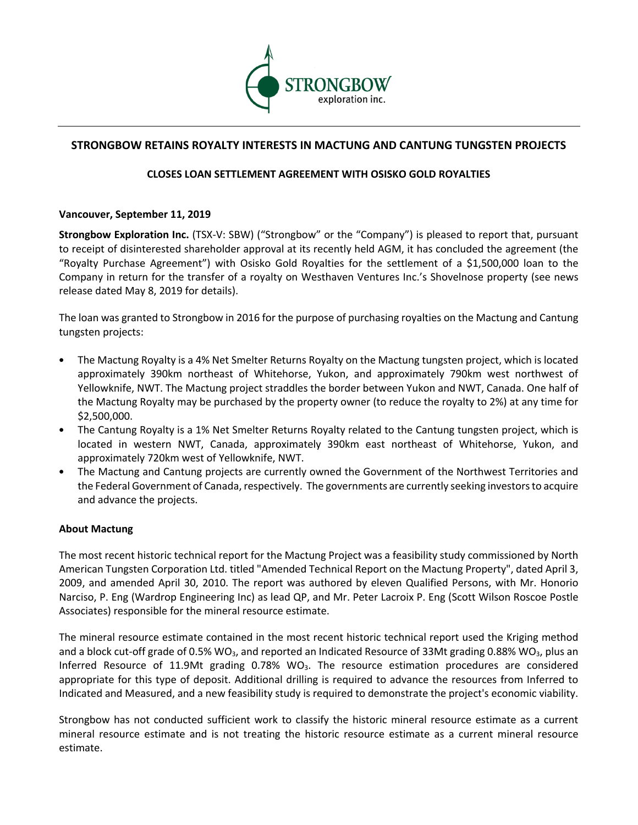

# **STRONGBOW RETAINS ROYALTY INTERESTS IN MACTUNG AND CANTUNG TUNGSTEN PROJECTS**

## **CLOSES LOAN SETTLEMENT AGREEMENT WITH OSISKO GOLD ROYALTIES**

#### **Vancouver, September 11, 2019**

**Strongbow Exploration Inc.** (TSX-V: SBW) ("Strongbow" or the "Company") is pleased to report that, pursuant to receipt of disinterested shareholder approval at its recently held AGM, it has concluded the agreement (the "Royalty Purchase Agreement") with Osisko Gold Royalties for the settlement of a \$1,500,000 loan to the Company in return for the transfer of a royalty on Westhaven Ventures Inc.'s Shovelnose property (see news release dated May 8, 2019 for details).

The loan was granted to Strongbow in 2016 for the purpose of purchasing royalties on the Mactung and Cantung tungsten projects:

- The Mactung Royalty is a 4% Net Smelter Returns Royalty on the Mactung tungsten project, which is located approximately 390km northeast of Whitehorse, Yukon, and approximately 790km west northwest of Yellowknife, NWT. The Mactung project straddles the border between Yukon and NWT, Canada. One half of the Mactung Royalty may be purchased by the property owner (to reduce the royalty to 2%) at any time for \$2,500,000.
- The Cantung Royalty is a 1% Net Smelter Returns Royalty related to the Cantung tungsten project, which is located in western NWT, Canada, approximately 390km east northeast of Whitehorse, Yukon, and approximately 720km west of Yellowknife, NWT.
- The Mactung and Cantung projects are currently owned the Government of the Northwest Territories and the Federal Government of Canada, respectively. The governments are currently seeking investors to acquire and advance the projects.

#### **About Mactung**

The most recent historic technical report for the Mactung Project was a feasibility study commissioned by North American Tungsten Corporation Ltd. titled "Amended Technical Report on the Mactung Property", dated April 3, 2009, and amended April 30, 2010. The report was authored by eleven Qualified Persons, with Mr. Honorio Narciso, P. Eng (Wardrop Engineering Inc) as lead QP, and Mr. Peter Lacroix P. Eng (Scott Wilson Roscoe Postle Associates) responsible for the mineral resource estimate.

The mineral resource estimate contained in the most recent historic technical report used the Kriging method and a block cut-off grade of 0.5% WO<sub>3</sub>, and reported an Indicated Resource of 33Mt grading 0.88% WO<sub>3</sub>, plus an Inferred Resource of 11.9Mt grading  $0.78\%$  WO<sub>3</sub>. The resource estimation procedures are considered appropriate for this type of deposit. Additional drilling is required to advance the resources from Inferred to Indicated and Measured, and a new feasibility study is required to demonstrate the project's economic viability.

Strongbow has not conducted sufficient work to classify the historic mineral resource estimate as a current mineral resource estimate and is not treating the historic resource estimate as a current mineral resource estimate.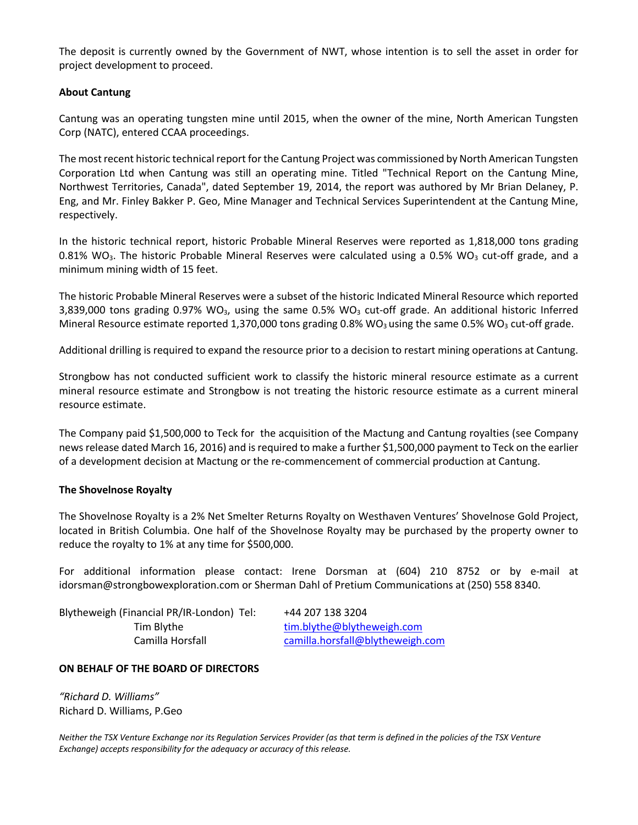The deposit is currently owned by the Government of NWT, whose intention is to sell the asset in order for project development to proceed.

### **About Cantung**

Cantung was an operating tungsten mine until 2015, when the owner of the mine, North American Tungsten Corp (NATC), entered CCAA proceedings.

The most recent historic technical report for the Cantung Project was commissioned by North American Tungsten Corporation Ltd when Cantung was still an operating mine. Titled "Technical Report on the Cantung Mine, Northwest Territories, Canada", dated September 19, 2014, the report was authored by Mr Brian Delaney, P. Eng, and Mr. Finley Bakker P. Geo, Mine Manager and Technical Services Superintendent at the Cantung Mine, respectively.

In the historic technical report, historic Probable Mineral Reserves were reported as 1,818,000 tons grading 0.81% WO<sub>3</sub>. The historic Probable Mineral Reserves were calculated using a 0.5% WO<sub>3</sub> cut-off grade, and a minimum mining width of 15 feet.

The historic Probable Mineral Reserves were a subset of the historic Indicated Mineral Resource which reported 3,839,000 tons grading  $0.97\%$  WO<sub>3</sub>, using the same  $0.5\%$  WO<sub>3</sub> cut-off grade. An additional historic Inferred Mineral Resource estimate reported 1,370,000 tons grading 0.8% WO<sub>3</sub> using the same 0.5% WO<sub>3</sub> cut-off grade.

Additional drilling is required to expand the resource prior to a decision to restart mining operations at Cantung.

Strongbow has not conducted sufficient work to classify the historic mineral resource estimate as a current mineral resource estimate and Strongbow is not treating the historic resource estimate as a current mineral resource estimate.

The Company paid \$1,500,000 to Teck for the acquisition of the Mactung and Cantung royalties (see Company news release dated March 16, 2016) and is required to make a further \$1,500,000 payment to Teck on the earlier of a development decision at Mactung or the re-commencement of commercial production at Cantung.

#### **The Shovelnose Royalty**

The Shovelnose Royalty is a 2% Net Smelter Returns Royalty on Westhaven Ventures' Shovelnose Gold Project, located in British Columbia. One half of the Shovelnose Royalty may be purchased by the property owner to reduce the royalty to 1% at any time for \$500,000.

For additional information please contact: Irene Dorsman at (604) 210 8752 or by e-mail at idorsman@strongbowexploration.com or Sherman Dahl of Pretium Communications at (250) 558 8340.

Blytheweigh (Financial PR/IR-London) Tel: +44 207 138 3204

Tim Blythe tim.blythe@blytheweigh.com Camilla Horsfall camilla.horsfall@blytheweigh.com

#### **ON BEHALF OF THE BOARD OF DIRECTORS**

*"Richard D. Williams"* Richard D. Williams, P.Geo

*Neither the TSX Venture Exchange nor its Regulation Services Provider (as that term is defined in the policies of the TSX Venture Exchange) accepts responsibility for the adequacy or accuracy of this release.*